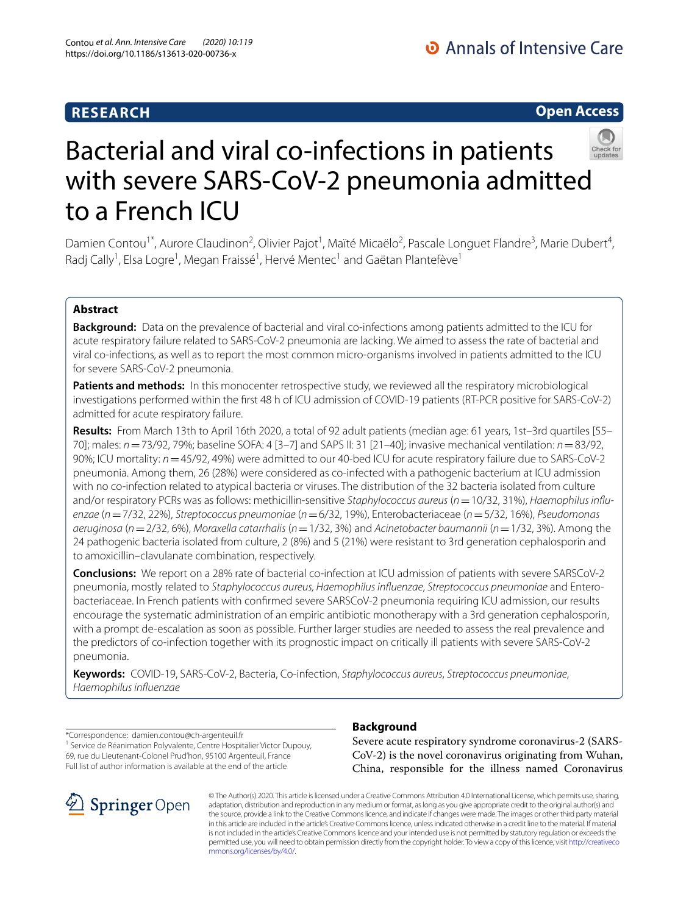# **RESEARCH**

# Bacterial and viral co-infections in patients with severe SARS-CoV-2 pneumonia admitted to a French ICU

Damien Contou<sup>1\*</sup>, Aurore Claudinon<sup>2</sup>, Olivier Pajot<sup>1</sup>, Maïté Micaëlo<sup>2</sup>, Pascale Longuet Flandre<sup>3</sup>, Marie Dubert<sup>4</sup>, Radj Cally<sup>1</sup>, Elsa Logre<sup>1</sup>, Megan Fraissé<sup>1</sup>, Hervé Mentec<sup>1</sup> and Gaëtan Plantefève<sup>1</sup>

# **Abstract**

**Background:** Data on the prevalence of bacterial and viral co-infections among patients admitted to the ICU for acute respiratory failure related to SARS-CoV-2 pneumonia are lacking. We aimed to assess the rate of bacterial and viral co-infections, as well as to report the most common micro-organisms involved in patients admitted to the ICU for severe SARS-CoV-2 pneumonia.

**Patients and methods:** In this monocenter retrospective study, we reviewed all the respiratory microbiological investigations performed within the frst 48 h of ICU admission of COVID-19 patients (RT-PCR positive for SARS-CoV-2) admitted for acute respiratory failure.

**Results:** From March 13th to April 16th 2020, a total of 92 adult patients (median age: 61 years, 1st–3rd quartiles [55– 70]; males: *n*=73/92, 79%; baseline SOFA: 4 [3–7] and SAPS II: 31 [21–40]; invasive mechanical ventilation: *n*=83/92, 90%; ICU mortality: *n*=45/92, 49%) were admitted to our 40-bed ICU for acute respiratory failure due to SARS-CoV-2 pneumonia. Among them, 26 (28%) were considered as co-infected with a pathogenic bacterium at ICU admission with no co-infection related to atypical bacteria or viruses. The distribution of the 32 bacteria isolated from culture and/or respiratory PCRs was as follows: methicillin-sensitive *Staphylococcus aureus* (*n*=10/32, 31%), *Haemophilus infuenzae* (*n*=7/32, 22%), *Streptococcus pneumoniae* (*n*=6/32, 19%), Enterobacteriaceae (*n*=5/32, 16%), *Pseudomonas aeruginosa* (*n*=2/32, 6%), *Moraxella catarrhalis* (*n*=1/32, 3%) and *Acinetobacter baumannii* (*n*=1/32, 3%). Among the 24 pathogenic bacteria isolated from culture, 2 (8%) and 5 (21%) were resistant to 3rd generation cephalosporin and to amoxicillin–clavulanate combination, respectively.

**Conclusions:** We report on a 28% rate of bacterial co-infection at ICU admission of patients with severe SARSCoV-2 pneumonia, mostly related to *Staphylococcus aureus, Haemophilus infuenzae*, *Streptococcus pneumoniae* and Enterobacteriaceae. In French patients with confrmed severe SARSCoV-2 pneumonia requiring ICU admission, our results encourage the systematic administration of an empiric antibiotic monotherapy with a 3rd generation cephalosporin, with a prompt de-escalation as soon as possible. Further larger studies are needed to assess the real prevalence and the predictors of co-infection together with its prognostic impact on critically ill patients with severe SARS-CoV-2 pneumonia.

**Keywords:** COVID-19, SARS-CoV-2, Bacteria, Co-infection, *Staphylococcus aureus*, *Streptococcus pneumoniae*, *Haemophilus infuenzae*

\*Correspondence: damien.contou@ch-argenteuil.fr <sup>1</sup> Service de Réanimation Polyvalente, Centre Hospitalier Victor Dupouy, 69, rue du Lieutenant-Colonel Prud'hon, 95100 Argenteuil, France Full list of author information is available at the end of the article

# **Background**

Severe acute respiratory syndrome coronavirus-2 (SARS-CoV-2) is the novel coronavirus originating from Wuhan, China, responsible for the illness named Coronavirus

© The Author(s) 2020. This article is licensed under a Creative Commons Attribution 4.0 International License, which permits use, sharing, adaptation, distribution and reproduction in any medium or format, as long as you give appropriate credit to the original author(s) and the source, provide a link to the Creative Commons licence, and indicate if changes were made. The images or other third party material in this article are included in the article's Creative Commons licence, unless indicated otherwise in a credit line to the material. If material is not included in the article's Creative Commons licence and your intended use is not permitted by statutory regulation or exceeds the permitted use, you will need to obtain permission directly from the copyright holder. To view a copy of this licence, visit [http://creativeco](http://creativecommons.org/licenses/by/4.0/) [mmons.org/licenses/by/4.0/.](http://creativecommons.org/licenses/by/4.0/)



**Open Access**

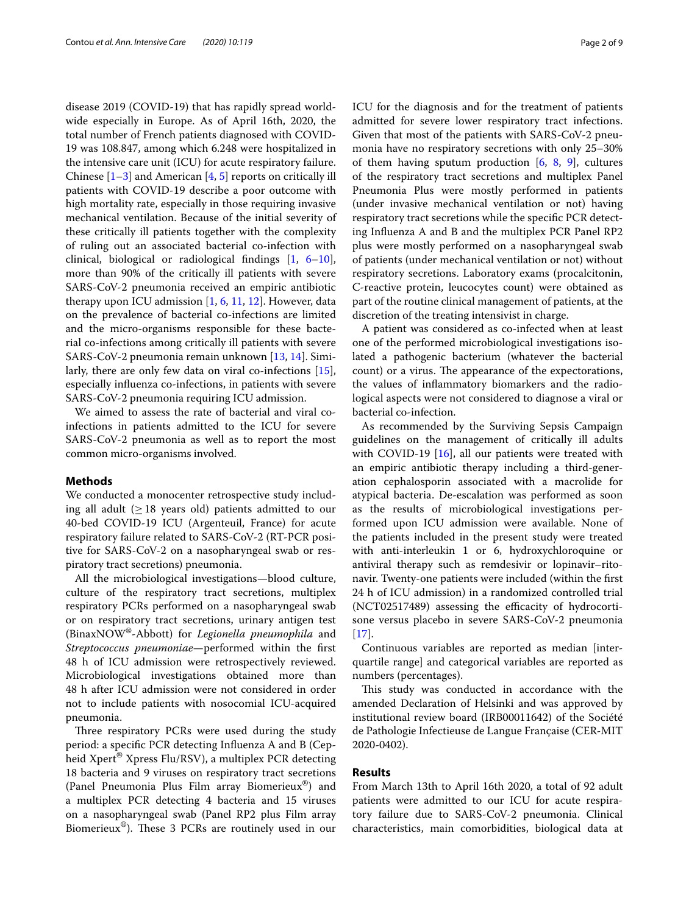disease 2019 (COVID-19) that has rapidly spread worldwide especially in Europe. As of April 16th, 2020, the total number of French patients diagnosed with COVID-19 was 108.847, among which 6.248 were hospitalized in the intensive care unit (ICU) for acute respiratory failure. Chinese  $[1-3]$  $[1-3]$  and American  $[4, 5]$  $[4, 5]$  $[4, 5]$  reports on critically ill patients with COVID-19 describe a poor outcome with high mortality rate, especially in those requiring invasive mechanical ventilation. Because of the initial severity of these critically ill patients together with the complexity of ruling out an associated bacterial co-infection with clinical, biological or radiological fndings [\[1](#page-7-0), [6](#page-7-4)[–10](#page-7-5)], more than 90% of the critically ill patients with severe SARS-CoV-2 pneumonia received an empiric antibiotic therapy upon ICU admission [[1,](#page-7-0) [6](#page-7-4), [11,](#page-7-6) [12](#page-7-7)]. However, data on the prevalence of bacterial co-infections are limited and the micro-organisms responsible for these bacterial co-infections among critically ill patients with severe SARS-CoV-2 pneumonia remain unknown [[13](#page-8-0), [14\]](#page-8-1). Similarly, there are only few data on viral co-infections [\[15](#page-8-2)], especially infuenza co-infections, in patients with severe SARS-CoV-2 pneumonia requiring ICU admission.

We aimed to assess the rate of bacterial and viral coinfections in patients admitted to the ICU for severe SARS-CoV-2 pneumonia as well as to report the most common micro-organisms involved.

## **Methods**

We conducted a monocenter retrospective study including all adult ( $\geq$  18 years old) patients admitted to our 40-bed COVID-19 ICU (Argenteuil, France) for acute respiratory failure related to SARS-CoV-2 (RT-PCR positive for SARS-CoV-2 on a nasopharyngeal swab or respiratory tract secretions) pneumonia.

All the microbiological investigations—blood culture, culture of the respiratory tract secretions, multiplex respiratory PCRs performed on a nasopharyngeal swab or on respiratory tract secretions, urinary antigen test (BinaxNOW®-Abbott) for *Legionella pneumophila* and *Streptococcus pneumoniae*—performed within the frst 48 h of ICU admission were retrospectively reviewed. Microbiological investigations obtained more than 48 h after ICU admission were not considered in order not to include patients with nosocomial ICU-acquired pneumonia.

Three respiratory PCRs were used during the study period: a specifc PCR detecting Infuenza A and B (Cepheid Xpert® Xpress Flu/RSV), a multiplex PCR detecting 18 bacteria and 9 viruses on respiratory tract secretions (Panel Pneumonia Plus Film array Biomerieux®) and a multiplex PCR detecting 4 bacteria and 15 viruses on a nasopharyngeal swab (Panel RP2 plus Film array Biomerieux<sup>®</sup>). These 3 PCRs are routinely used in our ICU for the diagnosis and for the treatment of patients admitted for severe lower respiratory tract infections. Given that most of the patients with SARS-CoV-2 pneumonia have no respiratory secretions with only 25–30% of them having sputum production [\[6](#page-7-4), [8](#page-7-8), [9](#page-7-9)], cultures of the respiratory tract secretions and multiplex Panel Pneumonia Plus were mostly performed in patients (under invasive mechanical ventilation or not) having respiratory tract secretions while the specifc PCR detecting Infuenza A and B and the multiplex PCR Panel RP2 plus were mostly performed on a nasopharyngeal swab of patients (under mechanical ventilation or not) without respiratory secretions. Laboratory exams (procalcitonin, C-reactive protein, leucocytes count) were obtained as part of the routine clinical management of patients, at the discretion of the treating intensivist in charge.

A patient was considered as co-infected when at least one of the performed microbiological investigations isolated a pathogenic bacterium (whatever the bacterial count) or a virus. The appearance of the expectorations, the values of infammatory biomarkers and the radiological aspects were not considered to diagnose a viral or bacterial co-infection.

As recommended by the Surviving Sepsis Campaign guidelines on the management of critically ill adults with COVID-19 [[16\]](#page-8-3), all our patients were treated with an empiric antibiotic therapy including a third-generation cephalosporin associated with a macrolide for atypical bacteria. De-escalation was performed as soon as the results of microbiological investigations performed upon ICU admission were available. None of the patients included in the present study were treated with anti-interleukin 1 or 6, hydroxychloroquine or antiviral therapy such as remdesivir or lopinavir–ritonavir. Twenty-one patients were included (within the frst 24 h of ICU admission) in a randomized controlled trial (NCT02517489) assessing the efficacity of hydrocortisone versus placebo in severe SARS-CoV-2 pneumonia  $[17]$  $[17]$ .

Continuous variables are reported as median [interquartile range] and categorical variables are reported as numbers (percentages).

This study was conducted in accordance with the amended Declaration of Helsinki and was approved by institutional review board (IRB00011642) of the Société de Pathologie Infectieuse de Langue Française (CER-MIT 2020-0402).

## **Results**

From March 13th to April 16th 2020, a total of 92 adult patients were admitted to our ICU for acute respiratory failure due to SARS-CoV-2 pneumonia. Clinical characteristics, main comorbidities, biological data at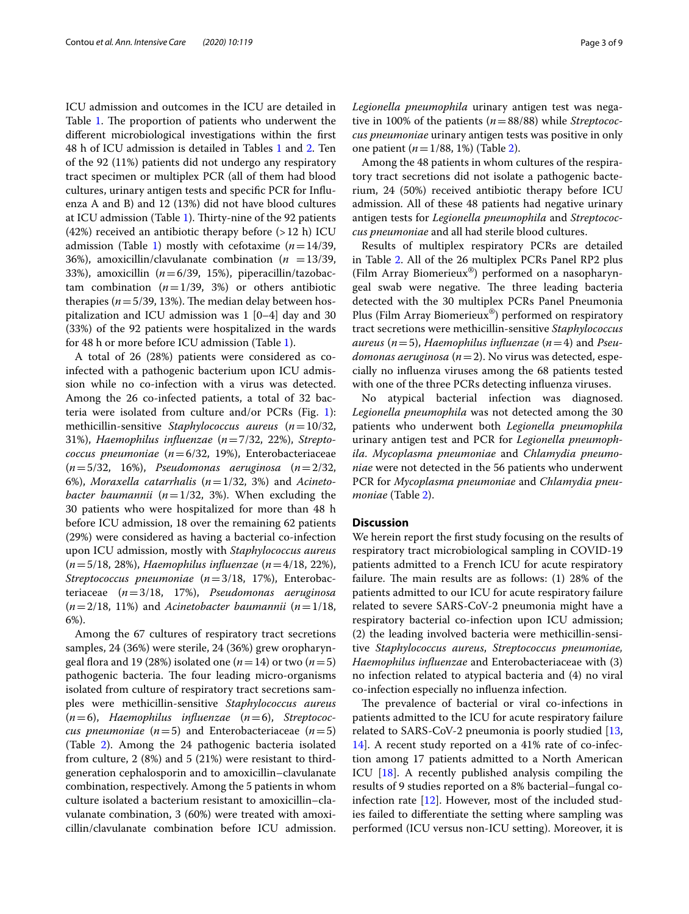ICU admission and outcomes in the ICU are detailed in Table [1](#page-3-0). The proportion of patients who underwent the diferent microbiological investigations within the frst 48 h of ICU admission is detailed in Tables [1](#page-3-0) and [2.](#page-4-0) Ten of the 92 (11%) patients did not undergo any respiratory tract specimen or multiplex PCR (all of them had blood cultures, urinary antigen tests and specifc PCR for Infuenza A and B) and 12 (13%) did not have blood cultures at ICU admission (Table [1](#page-3-0)). Thirty-nine of the 92 patients (42%) received an antibiotic therapy before  $(>12 \text{ h})$  ICU admission (Table [1\)](#page-3-0) mostly with cefotaxime  $(n=14/39,$ 36%), amoxicillin/clavulanate combination  $(n = 13/39)$ , 33%), amoxicillin (*n*=6/39, 15%), piperacillin/tazobactam combination  $(n=1/39, 3\%)$  or others antibiotic therapies ( $n = 5/39$ , 13%). The median delay between hospitalization and ICU admission was 1 [0–4] day and 30 (33%) of the 92 patients were hospitalized in the wards for 48 h or more before ICU admission (Table [1](#page-3-0)).

A total of 26 (28%) patients were considered as coinfected with a pathogenic bacterium upon ICU admission while no co-infection with a virus was detected. Among the 26 co-infected patients, a total of 32 bacteria were isolated from culture and/or PCRs (Fig. [1](#page-6-0)): methicillin-sensitive *Staphylococcus aureus* (*n*=10/32, 31%), *Haemophilus infuenzae* (*n*=7/32, 22%), *Streptococcus pneumoniae* (*n*=6/32, 19%), Enterobacteriaceae (*n*=5/32, 16%), *Pseudomonas aeruginosa* (*n*=2/32, 6%), *Moraxella catarrhalis* (*n*=1/32, 3%) and *Acinetobacter baumannii* (*n*=1/32, 3%). When excluding the 30 patients who were hospitalized for more than 48 h before ICU admission, 18 over the remaining 62 patients (29%) were considered as having a bacterial co-infection upon ICU admission, mostly with *Staphylococcus aureus* (*n*=5/18, 28%), *Haemophilus infuenzae* (*n*=4/18, 22%), *Streptococcus pneumoniae* (*n*=3/18, 17%), Enterobacteriaceae (*n*=3/18, 17%), *Pseudomonas aeruginosa*  $(n=2/18, 11\%)$  and *Acinetobacter baumannii*  $(n=1/18, 11\%)$ 6%).

Among the 67 cultures of respiratory tract secretions samples, 24 (36%) were sterile, 24 (36%) grew oropharyngeal flora and 19 (28%) isolated one ( $n=14$ ) or two ( $n=5$ ) pathogenic bacteria. The four leading micro-organisms isolated from culture of respiratory tract secretions samples were methicillin-sensitive *Staphylococcus aureus* (*n*=6), *Haemophilus infuenzae* (*n*=6), *Streptococcus pneumoniae* ( $n=5$ ) and Enterobacteriaceae ( $n=5$ ) (Table [2](#page-4-0)). Among the 24 pathogenic bacteria isolated from culture, 2 (8%) and 5 (21%) were resistant to thirdgeneration cephalosporin and to amoxicillin–clavulanate combination, respectively. Among the 5 patients in whom culture isolated a bacterium resistant to amoxicillin–clavulanate combination, 3 (60%) were treated with amoxicillin/clavulanate combination before ICU admission.

*Legionella pneumophila* urinary antigen test was negative in 100% of the patients (*n*=88/88) while *Streptococcus pneumoniae* urinary antigen tests was positive in only one patient (*n*=1/88, 1%) (Table [2\)](#page-4-0).

Among the 48 patients in whom cultures of the respiratory tract secretions did not isolate a pathogenic bacterium, 24 (50%) received antibiotic therapy before ICU admission. All of these 48 patients had negative urinary antigen tests for *Legionella pneumophila* and *Streptococcus pneumoniae* and all had sterile blood cultures.

Results of multiplex respiratory PCRs are detailed in Table [2](#page-4-0). All of the 26 multiplex PCRs Panel RP2 plus (Film Array Biomerieux®) performed on a nasopharyngeal swab were negative. The three leading bacteria detected with the 30 multiplex PCRs Panel Pneumonia Plus (Film Array Biomerieux®) performed on respiratory tract secretions were methicillin-sensitive *Staphylococcus aureus* (*n*=5), *Haemophilus infuenzae* (*n*=4) and *Pseudomonas aeruginosa* (*n*=2). No virus was detected, especially no infuenza viruses among the 68 patients tested with one of the three PCRs detecting infuenza viruses.

No atypical bacterial infection was diagnosed. *Legionella pneumophila* was not detected among the 30 patients who underwent both *Legionella pneumophila* urinary antigen test and PCR for *Legionella pneumophila. Mycoplasma pneumoniae* and *Chlamydia pneumoniae* were not detected in the 56 patients who underwent PCR for *Mycoplasma pneumoniae* and *Chlamydia pneumoniae* (Table [2](#page-4-0)).

## **Discussion**

We herein report the frst study focusing on the results of respiratory tract microbiological sampling in COVID-19 patients admitted to a French ICU for acute respiratory failure. The main results are as follows:  $(1)$  28% of the patients admitted to our ICU for acute respiratory failure related to severe SARS-CoV-2 pneumonia might have a respiratory bacterial co-infection upon ICU admission; (2) the leading involved bacteria were methicillin-sensitive *Staphylococcus aureus*, *Streptococcus pneumoniae, Haemophilus infuenzae* and Enterobacteriaceae with (3) no infection related to atypical bacteria and (4) no viral co-infection especially no infuenza infection.

The prevalence of bacterial or viral co-infections in patients admitted to the ICU for acute respiratory failure related to SARS-CoV-2 pneumonia is poorly studied [[13](#page-8-0), [14\]](#page-8-1). A recent study reported on a 41% rate of co-infection among 17 patients admitted to a North American ICU [\[18\]](#page-8-5). A recently published analysis compiling the results of 9 studies reported on a 8% bacterial–fungal coinfection rate  $[12]$  $[12]$ . However, most of the included studies failed to diferentiate the setting where sampling was performed (ICU versus non-ICU setting). Moreover, it is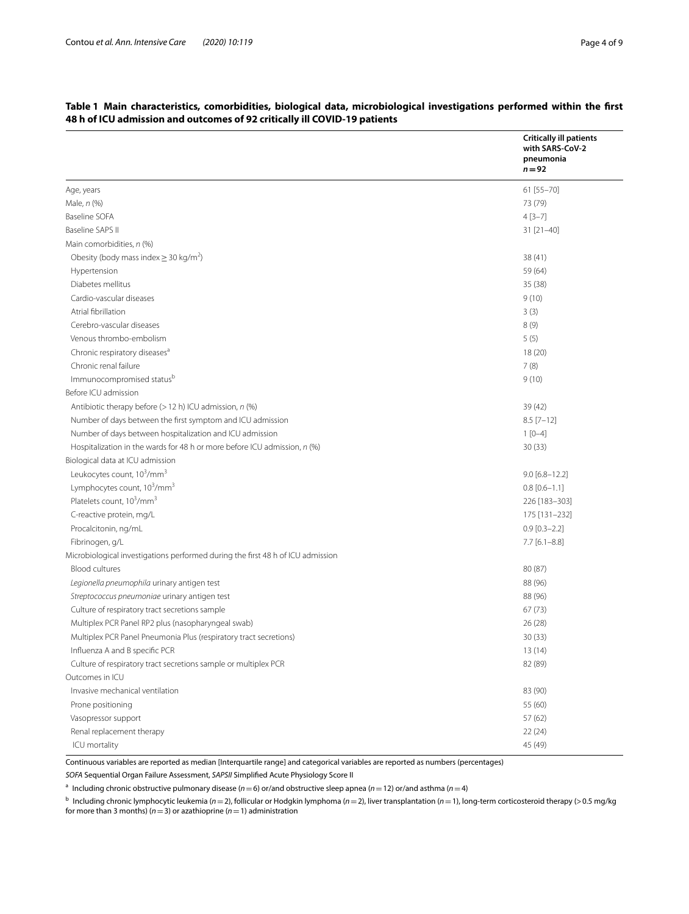|                                                                                 | <b>Critically ill patients</b><br>with SARS-CoV-2<br>pneumonia<br>$n = 92$ |
|---------------------------------------------------------------------------------|----------------------------------------------------------------------------|
| Age, years                                                                      | 61 [55-70]                                                                 |
| Male, n (%)                                                                     | 73 (79)                                                                    |
| Baseline SOFA                                                                   | $4[3-7]$                                                                   |
| Baseline SAPS II                                                                | $31$ [ $21-40$ ]                                                           |
| Main comorbidities, n (%)                                                       |                                                                            |
| Obesity (body mass index $\geq$ 30 kg/m <sup>2</sup> )                          | 38 (41)                                                                    |
| Hypertension                                                                    | 59 (64)                                                                    |
| Diabetes mellitus                                                               | 35(38)                                                                     |
| Cardio-vascular diseases                                                        | 9(10)                                                                      |
| Atrial fibrillation                                                             | 3(3)                                                                       |
| Cerebro-vascular diseases                                                       | 8(9)                                                                       |
| Venous thrombo-embolism                                                         | 5(5)                                                                       |
| Chronic respiratory diseases <sup>a</sup>                                       | 18 (20)                                                                    |
| Chronic renal failure                                                           | 7(8)                                                                       |
| Immunocompromised statusb                                                       | 9(10)                                                                      |
| Before ICU admission                                                            |                                                                            |
| Antibiotic therapy before $(>12 h)$ ICU admission, $n$ (%)                      | 39 (42)                                                                    |
| Number of days between the first symptom and ICU admission                      | $8.5$ [7-12]                                                               |
| Number of days between hospitalization and ICU admission                        | $1[0-4]$                                                                   |
| Hospitalization in the wards for 48 h or more before ICU admission, n (%)       | 30(33)                                                                     |
| Biological data at ICU admission                                                |                                                                            |
| Leukocytes count, 10 <sup>3</sup> /mm <sup>3</sup>                              | $9.0 [6.8 - 12.2]$                                                         |
| Lymphocytes count, 10 <sup>3</sup> /mm <sup>3</sup>                             | $0.8$ [0.6-1.1]                                                            |
| Platelets count, 10 <sup>3</sup> /mm <sup>3</sup>                               | 226 [183-303]                                                              |
| C-reactive protein, mg/L                                                        | 175 [131-232]                                                              |
| Procalcitonin, ng/mL                                                            | $0.9$ [0.3-2.2]                                                            |
| Fibrinogen, g/L                                                                 | $7.7$ [6.1-8.8]                                                            |
| Microbiological investigations performed during the first 48 h of ICU admission |                                                                            |
| <b>Blood cultures</b>                                                           | 80 (87)                                                                    |
| Legionella pneumophila urinary antigen test                                     | 88 (96)                                                                    |
| Streptococcus pneumoniae urinary antigen test                                   | 88 (96)                                                                    |
| Culture of respiratory tract secretions sample                                  | 67(73)                                                                     |
| Multiplex PCR Panel RP2 plus (nasopharyngeal swab)                              | 26 (28)                                                                    |
| Multiplex PCR Panel Pneumonia Plus (respiratory tract secretions)               | 30(33)                                                                     |
| Influenza A and B specific PCR                                                  | 13 (14)                                                                    |
| Culture of respiratory tract secretions sample or multiplex PCR                 | 82 (89)                                                                    |
| Outcomes in ICU                                                                 |                                                                            |
| Invasive mechanical ventilation                                                 | 83 (90)                                                                    |
| Prone positioning                                                               | 55 (60)                                                                    |
| Vasopressor support                                                             | 57 (62)                                                                    |
| Renal replacement therapy                                                       | 22(24)                                                                     |
| ICU mortality                                                                   | 45 (49)                                                                    |

# <span id="page-3-0"></span>**Table 1 Main characteristics, comorbidities, biological data, microbiological investigations performed within the frst 48 h of ICU admission and outcomes of 92 critically ill COVID-19 patients**

Continuous variables are reported as median [Interquartile range] and categorical variables are reported as numbers (percentages) *SOFA* Sequential Organ Failure Assessment, *SAPSII* Simplifed Acute Physiology Score II

<sup>a</sup> Including chronic obstructive pulmonary disease ( $n=6$ ) or/and obstructive sleep apnea ( $n=12$ ) or/and asthma ( $n=4$ )

<sup>b</sup> Including chronic lymphocytic leukemia (*n*=2), follicular or Hodgkin lymphoma (*n*=2), liver transplantation (*n*=1), long-term corticosteroid therapy (>0.5 mg/kg for more than 3 months) (*n*=3) or azathioprine (*n*=1) administration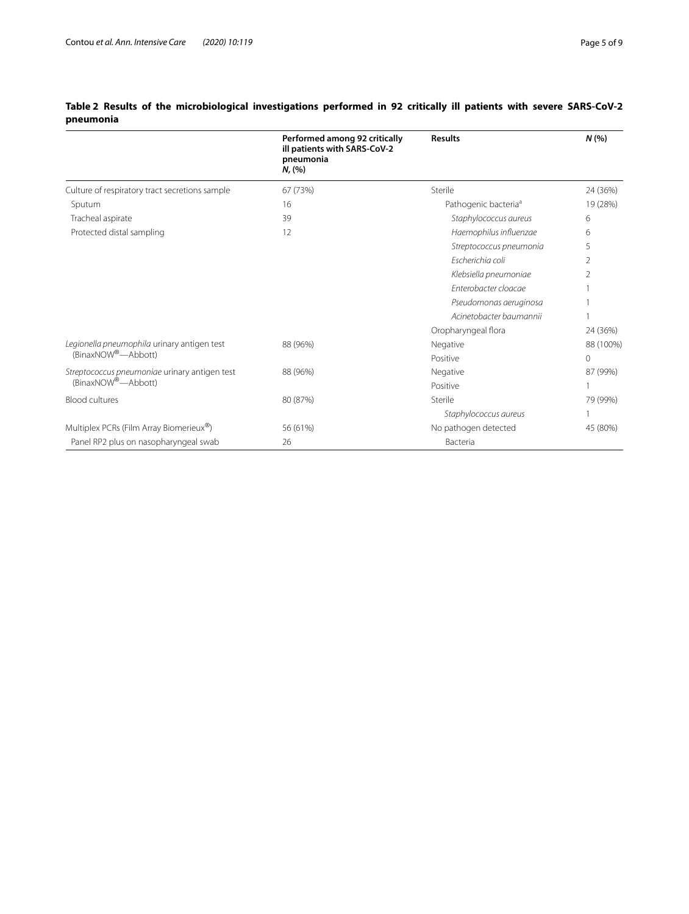|                                                                                | Performed among 92 critically<br>ill patients with SARS-CoV-2<br>pneumonia<br>N, (%) | <b>Results</b>                   | N(%            |
|--------------------------------------------------------------------------------|--------------------------------------------------------------------------------------|----------------------------------|----------------|
| Culture of respiratory tract secretions sample                                 | 67 (73%)                                                                             | Sterile                          | 24 (36%)       |
| Sputum                                                                         | 16                                                                                   | Pathogenic bacteria <sup>a</sup> | 19 (28%)       |
| Tracheal aspirate                                                              | 39                                                                                   | Staphylococcus aureus            | 6              |
| Protected distal sampling                                                      | 12                                                                                   | Haemophilus influenzae           | 6              |
|                                                                                |                                                                                      | Streptococcus pneumonia          | 5              |
|                                                                                |                                                                                      | Escherichia coli                 | $\overline{2}$ |
|                                                                                |                                                                                      | Klebsiella pneumoniae            | 2              |
|                                                                                |                                                                                      | Enterobacter cloacae             |                |
|                                                                                |                                                                                      | Pseudomonas aeruginosa           |                |
|                                                                                |                                                                                      | Acinetobacter baumannii          |                |
|                                                                                |                                                                                      | Oropharyngeal flora              | 24 (36%)       |
| Legionella pneumophila urinary antigen test<br>(BinaxNOW <sup>®</sup> —Abbott) | 88 (96%)                                                                             | Negative                         | 88 (100%)      |
|                                                                                |                                                                                      | Positive                         | $\circ$        |
| Streptococcus pneumoniae urinary antigen test<br>(BinaxNOW®-Abbott)            | 88 (96%)                                                                             | Negative                         | 87 (99%)       |
|                                                                                |                                                                                      | Positive                         |                |
| <b>Blood cultures</b>                                                          | 80 (87%)                                                                             | Sterile                          | 79 (99%)       |
|                                                                                |                                                                                      | Staphylococcus aureus            | 1              |
| Multiplex PCRs (Film Array Biomerieux®)                                        | 56 (61%)                                                                             | No pathogen detected             | 45 (80%)       |
| Panel RP2 plus on nasopharyngeal swab                                          | 26                                                                                   | Bacteria                         |                |

# <span id="page-4-0"></span>**Table 2 Results of the microbiological investigations performed in 92 critically ill patients with severe SARS-CoV-2 pneumonia**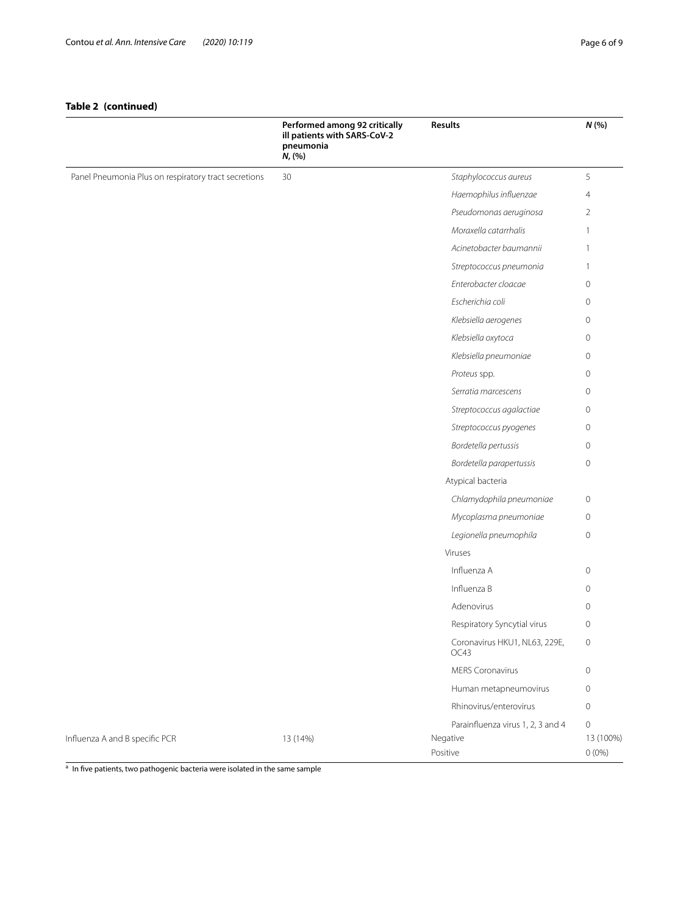# **Table 2 (continued)**

|                                                      | Performed among 92 critically<br>ill patients with SARS-CoV-2<br>pneumonia<br>$N, ( \% )$ | <b>Results</b>                        | N(%                   |
|------------------------------------------------------|-------------------------------------------------------------------------------------------|---------------------------------------|-----------------------|
| Panel Pneumonia Plus on respiratory tract secretions | 30                                                                                        | Staphylococcus aureus                 | 5                     |
|                                                      |                                                                                           | Haemophilus influenzae                | $\overline{4}$        |
|                                                      |                                                                                           | Pseudomonas aeruginosa                | $\overline{2}$        |
|                                                      |                                                                                           | Moraxella catarrhalis                 | $\overline{1}$        |
|                                                      |                                                                                           | Acinetobacter baumannii               | $\overline{1}$        |
|                                                      |                                                                                           | Streptococcus pneumonia               | 1                     |
|                                                      |                                                                                           | Enterobacter cloacae                  | $\mathbf{0}$          |
|                                                      |                                                                                           | Escherichia coli                      | $\circ$               |
|                                                      |                                                                                           | Klebsiella aerogenes                  | $\circ$               |
|                                                      |                                                                                           | Klebsiella oxytoca                    | $\mathbf{0}$          |
|                                                      |                                                                                           | Klebsiella pneumoniae                 | $\mathbf{0}$          |
|                                                      |                                                                                           | Proteus spp.                          | $\mathbf{0}$          |
|                                                      |                                                                                           | Serratia marcescens                   | $\circ$               |
|                                                      |                                                                                           | Streptococcus agalactiae              | $\circ$               |
|                                                      |                                                                                           | Streptococcus pyogenes                | $\mathsf{O}\xspace$   |
|                                                      |                                                                                           | Bordetella pertussis                  | $\mathbf{0}$          |
|                                                      |                                                                                           | Bordetella parapertussis              | $\circ$               |
|                                                      |                                                                                           | Atypical bacteria                     |                       |
|                                                      |                                                                                           | Chlamydophila pneumoniae              | $\mathbf 0$           |
|                                                      |                                                                                           | Mycoplasma pneumoniae                 | $\circ$               |
|                                                      |                                                                                           | Legionella pneumophila                | $\circ$               |
|                                                      |                                                                                           | Viruses                               |                       |
|                                                      |                                                                                           | Influenza A                           | $\circ$               |
|                                                      |                                                                                           | Influenza B                           | $\circ$               |
|                                                      |                                                                                           | Adenovirus                            | $\mathbf{0}$          |
|                                                      |                                                                                           | Respiratory Syncytial virus           | $\mathsf{O}\xspace$   |
|                                                      |                                                                                           | Coronavirus HKU1, NL63, 229E,<br>OC43 | $\circ$               |
|                                                      |                                                                                           | <b>MERS Coronavirus</b>               | $\mathbf 0$           |
|                                                      |                                                                                           | Human metapneumovirus                 | $\circ$               |
|                                                      |                                                                                           | Rhinovirus/enterovirus                | $\circ$               |
|                                                      |                                                                                           | Parainfluenza virus 1, 2, 3 and 4     | $\circ$               |
| Influenza A and B specific PCR                       | 13 (14%)                                                                                  | Negative<br>Positive                  | 13 (100%)<br>$0(0\%)$ |

a In five patients, two pathogenic bacteria were isolated in the same sample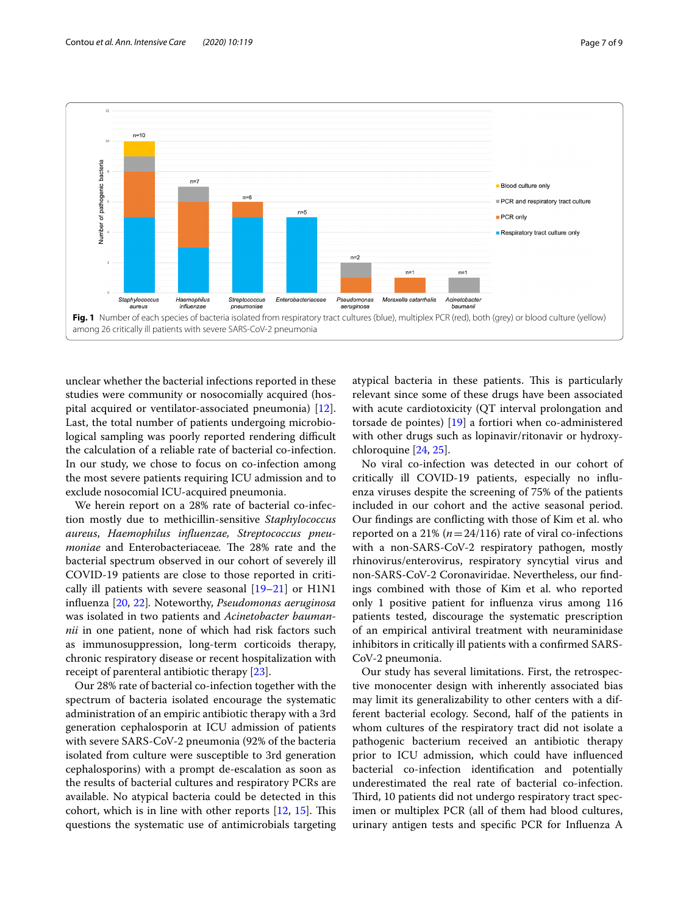

<span id="page-6-0"></span>unclear whether the bacterial infections reported in these studies were community or nosocomially acquired (hospital acquired or ventilator-associated pneumonia) [\[12](#page-7-7)]. Last, the total number of patients undergoing microbiological sampling was poorly reported rendering difficult the calculation of a reliable rate of bacterial co-infection. In our study, we chose to focus on co-infection among the most severe patients requiring ICU admission and to exclude nosocomial ICU-acquired pneumonia.

We herein report on a 28% rate of bacterial co-infection mostly due to methicillin-sensitive *Staphylococcus aureus*, *Haemophilus infuenzae, Streptococcus pneumoniae* and Enterobacteriaceae. The 28% rate and the bacterial spectrum observed in our cohort of severely ill COVID-19 patients are close to those reported in critically ill patients with severe seasonal  $[19-21]$  $[19-21]$  or  $H1N1$ infuenza [\[20](#page-8-8), [22](#page-8-9)]*.* Noteworthy, *Pseudomonas aeruginosa* was isolated in two patients and *Acinetobacter baumannii* in one patient, none of which had risk factors such as immunosuppression, long-term corticoids therapy, chronic respiratory disease or recent hospitalization with receipt of parenteral antibiotic therapy [\[23](#page-8-10)].

Our 28% rate of bacterial co-infection together with the spectrum of bacteria isolated encourage the systematic administration of an empiric antibiotic therapy with a 3rd generation cephalosporin at ICU admission of patients with severe SARS-CoV-2 pneumonia (92% of the bacteria isolated from culture were susceptible to 3rd generation cephalosporins) with a prompt de-escalation as soon as the results of bacterial cultures and respiratory PCRs are available. No atypical bacteria could be detected in this cohort, which is in line with other reports  $[12, 15]$  $[12, 15]$  $[12, 15]$ . This questions the systematic use of antimicrobials targeting atypical bacteria in these patients. This is particularly relevant since some of these drugs have been associated with acute cardiotoxicity (QT interval prolongation and torsade de pointes) [\[19](#page-8-6)] a fortiori when co-administered with other drugs such as lopinavir/ritonavir or hydroxychloroquine [[24,](#page-8-11) [25\]](#page-8-12).

No viral co-infection was detected in our cohort of critically ill COVID-19 patients, especially no infuenza viruses despite the screening of 75% of the patients included in our cohort and the active seasonal period. Our fndings are conficting with those of Kim et al. who reported on a 21% ( $n=24/116$ ) rate of viral co-infections with a non-SARS-CoV-2 respiratory pathogen, mostly rhinovirus/enterovirus, respiratory syncytial virus and non-SARS-CoV-2 Coronaviridae. Nevertheless, our fndings combined with those of Kim et al. who reported only 1 positive patient for infuenza virus among 116 patients tested, discourage the systematic prescription of an empirical antiviral treatment with neuraminidase inhibitors in critically ill patients with a confrmed SARS-CoV-2 pneumonia.

Our study has several limitations. First, the retrospective monocenter design with inherently associated bias may limit its generalizability to other centers with a different bacterial ecology. Second, half of the patients in whom cultures of the respiratory tract did not isolate a pathogenic bacterium received an antibiotic therapy prior to ICU admission, which could have infuenced bacterial co-infection identifcation and potentially underestimated the real rate of bacterial co-infection. Third, 10 patients did not undergo respiratory tract specimen or multiplex PCR (all of them had blood cultures, urinary antigen tests and specifc PCR for Infuenza A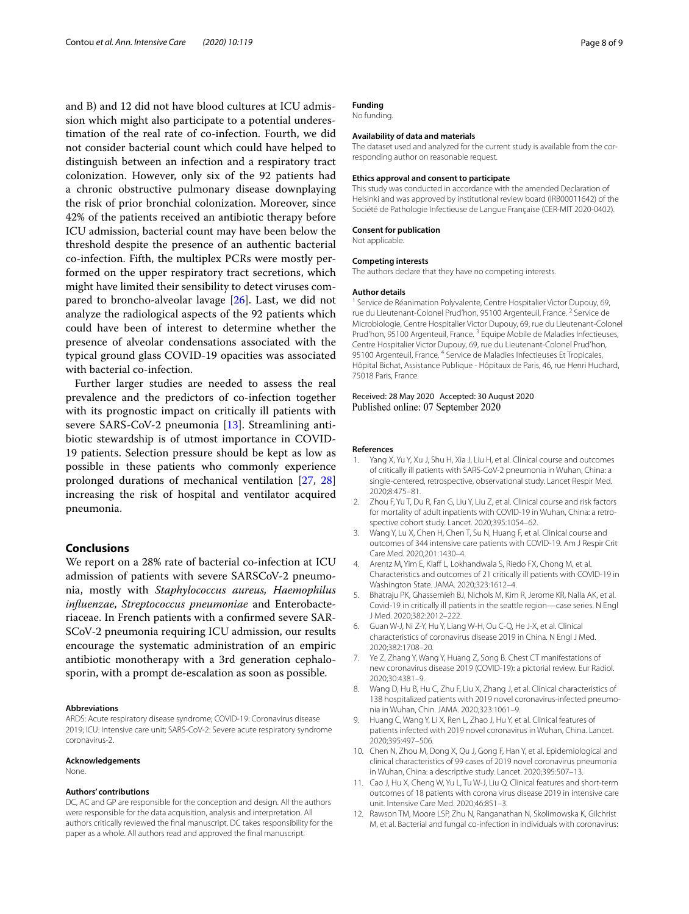and B) and 12 did not have blood cultures at ICU admission which might also participate to a potential underestimation of the real rate of co-infection. Fourth, we did not consider bacterial count which could have helped to distinguish between an infection and a respiratory tract colonization. However, only six of the 92 patients had a chronic obstructive pulmonary disease downplaying the risk of prior bronchial colonization. Moreover, since 42% of the patients received an antibiotic therapy before ICU admission, bacterial count may have been below the threshold despite the presence of an authentic bacterial co-infection. Fifth, the multiplex PCRs were mostly performed on the upper respiratory tract secretions, which might have limited their sensibility to detect viruses compared to broncho-alveolar lavage [[26\]](#page-8-13). Last, we did not analyze the radiological aspects of the 92 patients which could have been of interest to determine whether the presence of alveolar condensations associated with the typical ground glass COVID-19 opacities was associated with bacterial co-infection.

Further larger studies are needed to assess the real prevalence and the predictors of co-infection together with its prognostic impact on critically ill patients with severe SARS-CoV-2 pneumonia [\[13](#page-8-0)]. Streamlining antibiotic stewardship is of utmost importance in COVID-19 patients. Selection pressure should be kept as low as possible in these patients who commonly experience prolonged durations of mechanical ventilation [\[27,](#page-8-14) [28](#page-8-15)] increasing the risk of hospital and ventilator acquired pneumonia.

## **Conclusions**

We report on a 28% rate of bacterial co-infection at ICU admission of patients with severe SARSCoV-2 pneumonia, mostly with *Staphylococcus aureus, Haemophilus infuenzae*, *Streptococcus pneumoniae* and Enterobacteriaceae. In French patients with a confrmed severe SAR-SCoV-2 pneumonia requiring ICU admission, our results encourage the systematic administration of an empiric antibiotic monotherapy with a 3rd generation cephalosporin, with a prompt de-escalation as soon as possible.

#### **Abbreviations**

ARDS: Acute respiratory disease syndrome; COVID-19: Coronavirus disease 2019; ICU: Intensive care unit; SARS-CoV-2: Severe acute respiratory syndrome coronavirus-2.

#### **Acknowledgements**

None.

## **Authors' contributions**

DC, AC and GP are responsible for the conception and design. All the authors were responsible for the data acquisition, analysis and interpretation. All authors critically reviewed the fnal manuscript. DC takes responsibility for the paper as a whole. All authors read and approved the fnal manuscript.

#### **Funding** No funding.

## **Availability of data and materials**

The dataset used and analyzed for the current study is available from the corresponding author on reasonable request.

#### **Ethics approval and consent to participate**

This study was conducted in accordance with the amended Declaration of Helsinki and was approved by institutional review board (IRB00011642) of the Société de Pathologie Infectieuse de Langue Française (CER-MIT 2020-0402).

## **Consent for publication**

Not applicable.

#### **Competing interests**

The authors declare that they have no competing interests.

#### **Author details**

<sup>1</sup> Service de Réanimation Polyvalente, Centre Hospitalier Victor Dupouy, 69, rue du Lieutenant-Colonel Prud'hon, 95100 Argenteuil, France. <sup>2</sup> Service de Microbiologie, Centre Hospitalier Victor Dupouy, 69, rue du Lieutenant-Colonel Prud'hon, 95100 Argenteuil, France.<sup>3</sup> Equipe Mobile de Maladies Infectieuses, Centre Hospitalier Victor Dupouy, 69, rue du Lieutenant-Colonel Prud'hon, 95100 Argenteuil, France. <sup>4</sup> Service de Maladies Infectieuses Et Tropicales, Hôpital Bichat, Assistance Publique - Hôpitaux de Paris, 46, rue Henri Huchard, 75018 Paris, France.

## Received: 28 May 2020 Accepted: 30 August 2020 Published online: 07 September 2020

#### **References**

- <span id="page-7-0"></span>Yang X, Yu Y, Xu J, Shu H, Xia J, Liu H, et al. Clinical course and outcomes of critically ill patients with SARS-CoV-2 pneumonia in Wuhan, China: a single-centered, retrospective, observational study. Lancet Respir Med. 2020;8:475–81.
- 2. Zhou F, Yu T, Du R, Fan G, Liu Y, Liu Z, et al. Clinical course and risk factors for mortality of adult inpatients with COVID-19 in Wuhan, China: a retrospective cohort study. Lancet. 2020;395:1054–62.
- <span id="page-7-1"></span>3. Wang Y, Lu X, Chen H, Chen T, Su N, Huang F, et al. Clinical course and outcomes of 344 intensive care patients with COVID-19. Am J Respir Crit Care Med. 2020;201:1430–4.
- <span id="page-7-2"></span>4. Arentz M, Yim E, Klaff L, Lokhandwala S, Riedo FX, Chong M, et al. Characteristics and outcomes of 21 critically ill patients with COVID-19 in Washington State. JAMA. 2020;323:1612–4.
- <span id="page-7-3"></span>5. Bhatraju PK, Ghassemieh BJ, Nichols M, Kim R, Jerome KR, Nalla AK, et al. Covid-19 in critically ill patients in the seattle region—case series. N Engl J Med. 2020;382:2012–222.
- <span id="page-7-4"></span>Guan W-J, Ni Z-Y, Hu Y, Liang W-H, Ou C-Q, He J-X, et al. Clinical characteristics of coronavirus disease 2019 in China. N Engl J Med. 2020;382:1708–20.
- 7. Ye Z, Zhang Y, Wang Y, Huang Z, Song B. Chest CT manifestations of new coronavirus disease 2019 (COVID-19): a pictorial review. Eur Radiol. 2020;30:4381–9.
- <span id="page-7-8"></span>8. Wang D, Hu B, Hu C, Zhu F, Liu X, Zhang J, et al. Clinical characteristics of 138 hospitalized patients with 2019 novel coronavirus-infected pneumonia in Wuhan, Chin. JAMA. 2020;323:1061–9.
- <span id="page-7-9"></span>9. Huang C, Wang Y, Li X, Ren L, Zhao J, Hu Y, et al. Clinical features of patients infected with 2019 novel coronavirus in Wuhan, China. Lancet. 2020;395:497–506.
- <span id="page-7-5"></span>10. Chen N, Zhou M, Dong X, Qu J, Gong F, Han Y, et al. Epidemiological and clinical characteristics of 99 cases of 2019 novel coronavirus pneumonia in Wuhan, China: a descriptive study. Lancet. 2020;395:507–13.
- <span id="page-7-6"></span>11. Cao J, Hu X, Cheng W, Yu L, Tu W-J, Liu Q. Clinical features and short-term outcomes of 18 patients with corona virus disease 2019 in intensive care unit. Intensive Care Med. 2020;46:851–3.
- <span id="page-7-7"></span>12. Rawson TM, Moore LSP, Zhu N, Ranganathan N, Skolimowska K, Gilchrist M, et al. Bacterial and fungal co-infection in individuals with coronavirus: